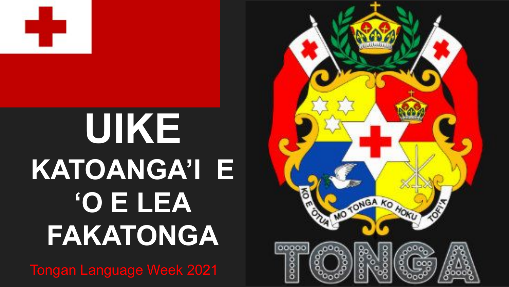

### UIKE **KATOANGA'I E O E LEA FAKATONGA**

**Tongan Language Week 2021** 

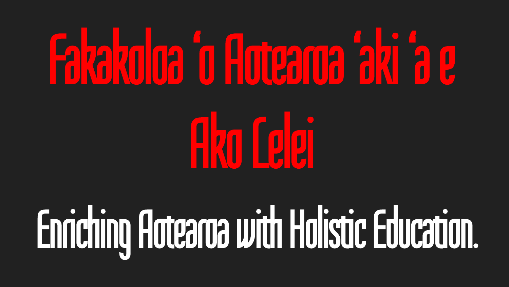## 

**Ako felgi** 

## Enriching Aotearda with Holistic Education.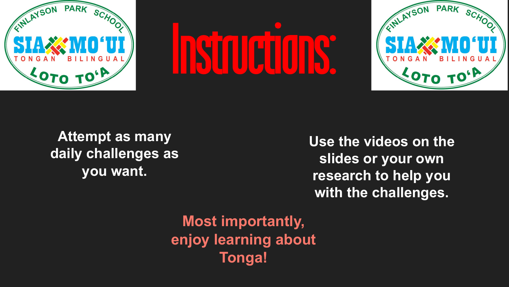





**Attempt as many daily challenges as you want.**

**Use the videos on the slides or your own research to help you with the challenges.**

**Most importantly, enjoy learning about Tonga!**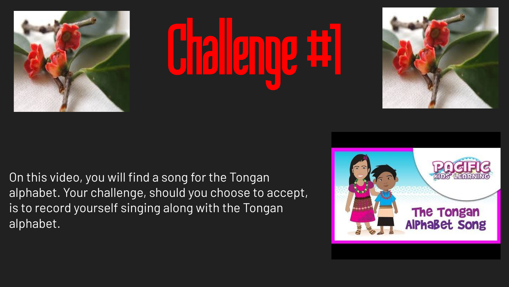





On this video, you will find a song for the Tongan alphabet. Your challenge, should you choose to accept, is to record yourself singing along with the Tongan alphabet.

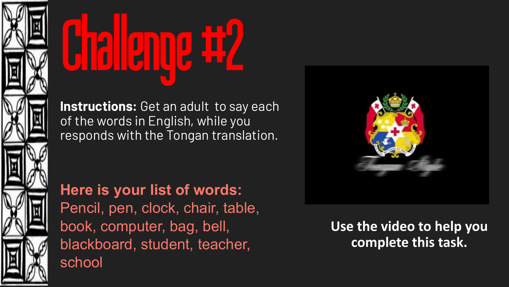



**Instructions:** Get an adult to say each of the words in English, while you responds with the Tongan translation.

**Here is your list of words:**  Pencil, pen, clock, chair, table, book, computer, bag, bell, blackboard, student, teacher, school



**Use the video to help you complete this task.**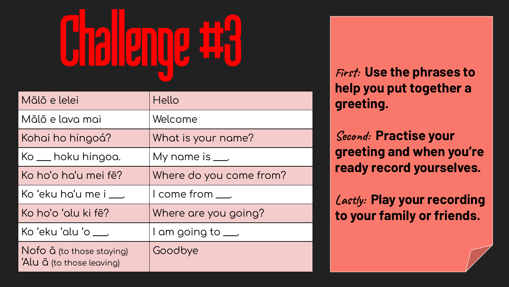# Challenge #3 **<sup>F</sup>irst: Use the phrases to**

| Mālō e lelei                                                   | Hello                     |
|----------------------------------------------------------------|---------------------------|
| Mālō e lava mai                                                | Welcome                   |
| Kohai ho hingoá?                                               | What is your name?        |
| Ko <sub>—</sub> hoku hingoa.                                   | My name is $\_\_\$        |
| Ko ho'o ho'u mei fē?                                           | Where do you come from?   |
| Koʻeku ha'u me i $\quad$ .                                     | l come from ____.         |
| Ko ho'o 'alu ki fē?                                            | Where are you going?      |
| Koʻekuʻaluʻo .                                                 | I am going to <u>__</u> . |
| Nofo $\bar{a}$ (to those staying)<br>'Alu ā (to those leaving) | Goodbye                   |

**help you put together a greeting.** 

**Second: Practise your greeting and when you're ready record yourselves.** 

**Lastly: Play your recording to your family or friends.**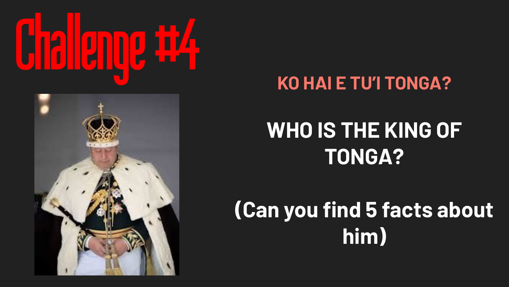



#### **KO HAI E TU'I TONGA?**

### **WHO IS THE KING OF TONGA?**

### **(Can you find 5 facts about him)**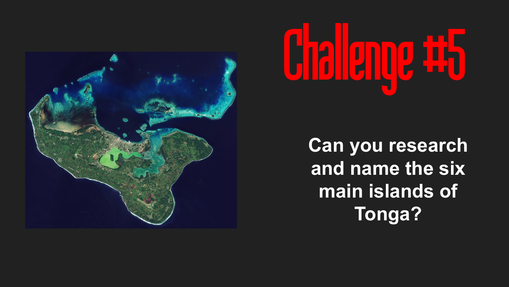



**Can you research and name the six main islands of Tonga?**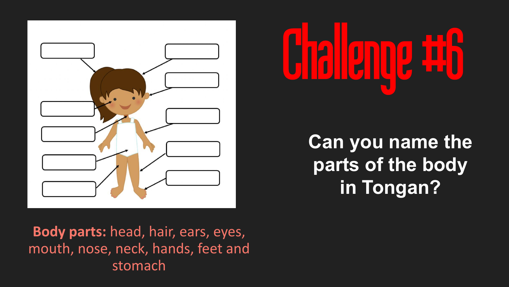



**Can you name the parts of the body in Tongan?**

**Body parts:** head, hair, ears, eyes, mouth, nose, neck, hands, feet and stomach